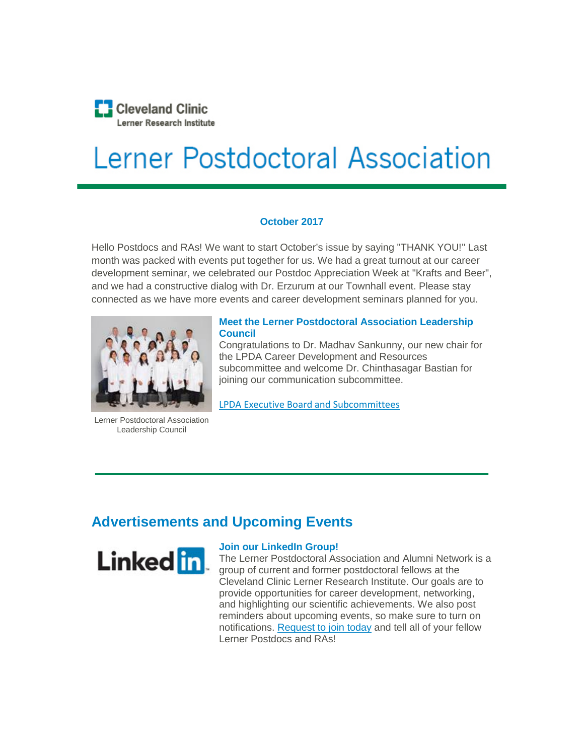

# Lerner Postdoctoral Association

## **October 2017**

Hello Postdocs and RAs! We want to start October's issue by saying "THANK YOU!" Last month was packed with events put together for us. We had a great turnout at our career development seminar, we celebrated our Postdoc Appreciation Week at "Krafts and Beer", and we had a constructive dialog with Dr. Erzurum at our Townhall event. Please stay connected as we have more events and career development seminars planned for you.



Lerner Postdoctoral Association Leadership Council

## **Meet the Lerner Postdoctoral Association Leadership Council**

Congratulations to Dr. Madhav Sankunny, our new chair for the LPDA Career Development and Resources subcommittee and welcome Dr. Chinthasagar Bastian for joining our communication subcommittee.

[LPDA Executive Board and Subcommittees](http://www.clevelandclinicmeded.com/newsletter/lpda/17-oct/lpda_newsletter-article1.html) 

## **Advertisements and Upcoming Events**



## **Join our LinkedIn Group!**

The Lerner Postdoctoral Association and Alumni Network is a group of current and former postdoctoral fellows at the Cleveland Clinic Lerner Research Institute. Our goals are to provide opportunities for career development, networking, and highlighting our scientific achievements. We also post reminders about upcoming events, so make sure to turn on notifications. Request to join today [and tell all of your fellow](https://www.linkedin.com/groups/13534210/profile)  [Lerner Postdocs and RAs!](https://www.linkedin.com/groups/13534210/profile)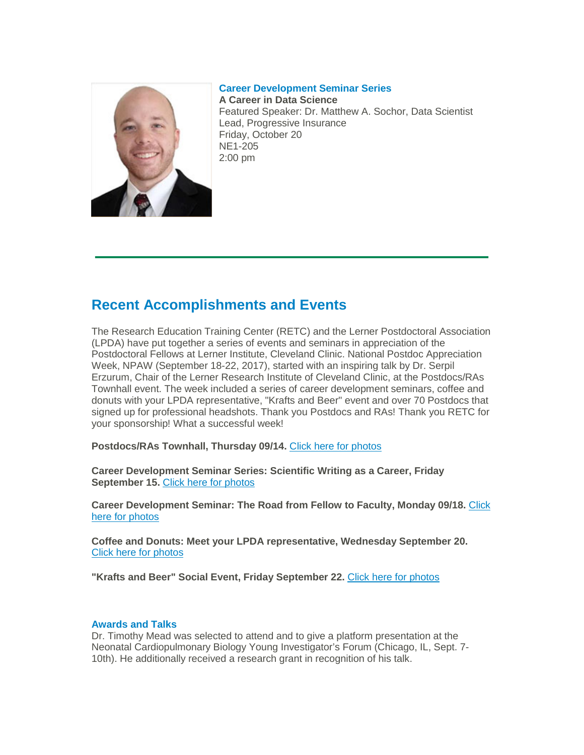### **Career Development Seminar Series**



**A Career in Data Science** Featured Speaker: Dr. Matthew A. Sochor, Data Scientist Lead, Progressive Insurance Friday, October 20 NE1-205 2:00 pm

## **Recent Accomplishments and Events**

The Research Education Training Center (RETC) and the Lerner Postdoctoral Association (LPDA) have put together a series of events and seminars in appreciation of the Postdoctoral Fellows at Lerner Institute, Cleveland Clinic. National Postdoc Appreciation Week, NPAW (September 18-22, 2017), started with an inspiring talk by Dr. Serpil Erzurum, Chair of the Lerner Research Institute of Cleveland Clinic, at the Postdocs/RAs Townhall event. The week included a series of career development seminars, coffee and donuts with your LPDA representative, "Krafts and Beer" event and over 70 Postdocs that signed up for professional headshots. Tha[nk you Postdocs and RAs! Thank you RETC for](https://photos.app.goo.gl/Dqi5qyi9rvzU8mLU2)  [your sponsorship! What a successful week!](https://photos.app.goo.gl/Dqi5qyi9rvzU8mLU2)

**[Postdocs/RAs Townhall, Thursday 09/14.](https://photos.app.goo.gl/Dqi5qyi9rvzU8mLU2)** Click here for photos

**[Career Development Seminar Series: Scientific Writing as a Career, Friday](https://photos.app.goo.gl/GGFtc8BZ0xSF8Ycr2)  [September 15.](https://photos.app.goo.gl/ed7wvdlMhX0zeFbw1)** [Click here for photos](https://photos.app.goo.gl/GGFtc8BZ0xSF8Ycr2)

**[Career Development Seminar: The Road from Fellow to Faculty, Monday 09/18.](https://photos.app.goo.gl/ed7wvdlMhX0zeFbw1)** Click [here for photos](https://photos.app.goo.gl/ed7wvdlMhX0zeFbw1)

**[Coffee and Donuts: Meet your LPDA representative, Wednesday September 20.](https://photos.app.goo.gl/oVQcNNP7t2pDGVZb2)**  [Click here for photos](https://photos.app.goo.gl/oVQcNNP7t2pDGVZb2)

**["Krafts and Beer" Social Event, Friday September 22.](https://photos.app.goo.gl/6FhGAY9eYbug9g5d2)** Click here for photos

## **[Awards and Talks](https://eurekalert.org/pub_releases/2017-06/cc-agb063017.php)**

Dr. Timothy Mead was selected to attend and to give a platform presentation at the Neonatal Cardiopulmonary Biology Young Investigator's Forum (Chicago, IL, Sept. 7- 10th). He additionally received a research grant in recognition of his talk.